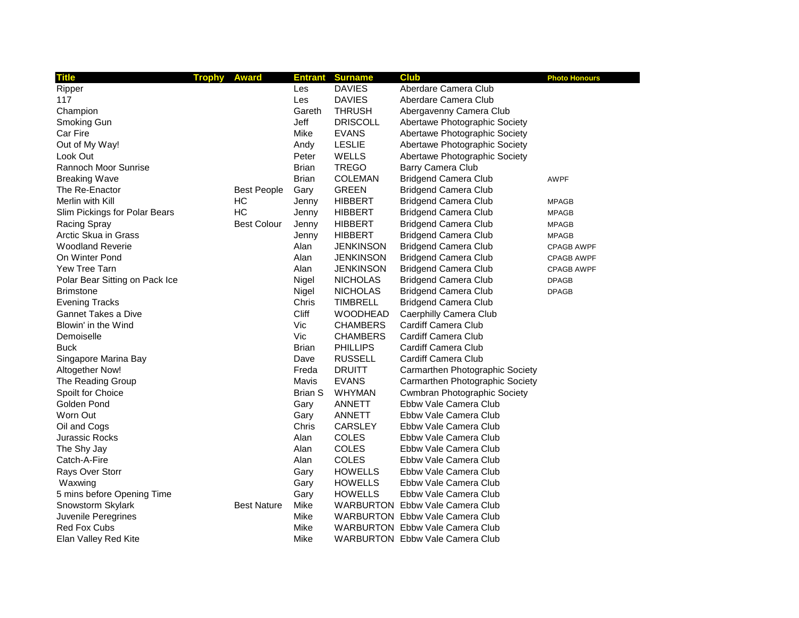| <b>Title</b>                   | <b>Trophy</b><br><b>Award</b> |              | <b>Entrant Surname</b> | <b>Club</b>                            | <b>Photo Honours</b> |
|--------------------------------|-------------------------------|--------------|------------------------|----------------------------------------|----------------------|
| Ripper                         |                               | Les          | <b>DAVIES</b>          | Aberdare Camera Club                   |                      |
| 117                            |                               | Les          | <b>DAVIES</b>          | Aberdare Camera Club                   |                      |
| Champion                       |                               | Gareth       | <b>THRUSH</b>          | Abergavenny Camera Club                |                      |
| Smoking Gun                    |                               | Jeff         | <b>DRISCOLL</b>        | Abertawe Photographic Society          |                      |
| Car Fire                       |                               | Mike         | <b>EVANS</b>           | Abertawe Photographic Society          |                      |
| Out of My Way!                 |                               | Andy         | <b>LESLIE</b>          | Abertawe Photographic Society          |                      |
| Look Out                       |                               | Peter        | <b>WELLS</b>           | Abertawe Photographic Society          |                      |
| Rannoch Moor Sunrise           |                               | <b>Brian</b> | <b>TREGO</b>           | Barry Camera Club                      |                      |
| <b>Breaking Wave</b>           |                               | <b>Brian</b> | <b>COLEMAN</b>         | <b>Bridgend Camera Club</b>            | <b>AWPF</b>          |
| The Re-Enactor                 | <b>Best People</b>            | Gary         | <b>GREEN</b>           | <b>Bridgend Camera Club</b>            |                      |
| Merlin with Kill               | HC                            | Jenny        | <b>HIBBERT</b>         | <b>Bridgend Camera Club</b>            | <b>MPAGB</b>         |
| Slim Pickings for Polar Bears  | HC                            | Jenny        | <b>HIBBERT</b>         | <b>Bridgend Camera Club</b>            | <b>MPAGB</b>         |
| <b>Racing Spray</b>            | <b>Best Colour</b>            | Jenny        | <b>HIBBERT</b>         | <b>Bridgend Camera Club</b>            | <b>MPAGB</b>         |
| Arctic Skua in Grass           |                               | Jenny        | <b>HIBBERT</b>         | <b>Bridgend Camera Club</b>            | <b>MPAGB</b>         |
| <b>Woodland Reverie</b>        |                               | Alan         | <b>JENKINSON</b>       | <b>Bridgend Camera Club</b>            | <b>CPAGB AWPF</b>    |
| On Winter Pond                 |                               | Alan         | <b>JENKINSON</b>       | <b>Bridgend Camera Club</b>            | <b>CPAGB AWPF</b>    |
| Yew Tree Tarn                  |                               | Alan         | <b>JENKINSON</b>       | <b>Bridgend Camera Club</b>            | <b>CPAGB AWPF</b>    |
| Polar Bear Sitting on Pack Ice |                               | Nigel        | <b>NICHOLAS</b>        | <b>Bridgend Camera Club</b>            | <b>DPAGB</b>         |
| <b>Brimstone</b>               |                               | Nigel        | <b>NICHOLAS</b>        | <b>Bridgend Camera Club</b>            | <b>DPAGB</b>         |
| <b>Evening Tracks</b>          |                               | Chris        | <b>TIMBRELL</b>        | <b>Bridgend Camera Club</b>            |                      |
| Gannet Takes a Dive            |                               | Cliff        | <b>WOODHEAD</b>        | Caerphilly Camera Club                 |                      |
| Blowin' in the Wind            |                               | Vic          | <b>CHAMBERS</b>        | Cardiff Camera Club                    |                      |
| Demoiselle                     |                               | Vic          | <b>CHAMBERS</b>        | Cardiff Camera Club                    |                      |
| Buck                           |                               | <b>Brian</b> | <b>PHILLIPS</b>        | Cardiff Camera Club                    |                      |
| Singapore Marina Bay           |                               | Dave         | <b>RUSSELL</b>         | Cardiff Camera Club                    |                      |
| Altogether Now!                |                               | Freda        | <b>DRUITT</b>          | Carmarthen Photographic Society        |                      |
| The Reading Group              |                               | Mavis        | <b>EVANS</b>           | Carmarthen Photographic Society        |                      |
| Spoilt for Choice              |                               | Brian S      | <b>WHYMAN</b>          | <b>Cwmbran Photographic Society</b>    |                      |
| Golden Pond                    |                               | Gary         | ANNETT                 | Ebbw Vale Camera Club                  |                      |
| Worn Out                       |                               | Gary         | ANNETT                 | Ebbw Vale Camera Club                  |                      |
| Oil and Cogs                   |                               | Chris        | <b>CARSLEY</b>         | Ebbw Vale Camera Club                  |                      |
| Jurassic Rocks                 |                               | Alan         | <b>COLES</b>           | Ebbw Vale Camera Club                  |                      |
| The Shy Jay                    |                               | Alan         | <b>COLES</b>           | Ebbw Vale Camera Club                  |                      |
| Catch-A-Fire                   |                               | Alan         | COLES                  | Ebbw Vale Camera Club                  |                      |
| Rays Over Storr                |                               | Gary         | <b>HOWELLS</b>         | Ebbw Vale Camera Club                  |                      |
| Waxwing                        |                               | Gary         | <b>HOWELLS</b>         | Ebbw Vale Camera Club                  |                      |
| 5 mins before Opening Time     |                               | Gary         | <b>HOWELLS</b>         | Ebbw Vale Camera Club                  |                      |
| Snowstorm Skylark              | <b>Best Nature</b>            | Mike         |                        | <b>WARBURTON</b> Ebbw Vale Camera Club |                      |
| Juvenile Peregrines            |                               | Mike         |                        | <b>WARBURTON Ebbw Vale Camera Club</b> |                      |
| <b>Red Fox Cubs</b>            |                               | Mike         |                        | <b>WARBURTON Ebbw Vale Camera Club</b> |                      |
| Elan Valley Red Kite           |                               | Mike         |                        | <b>WARBURTON</b> Ebbw Vale Camera Club |                      |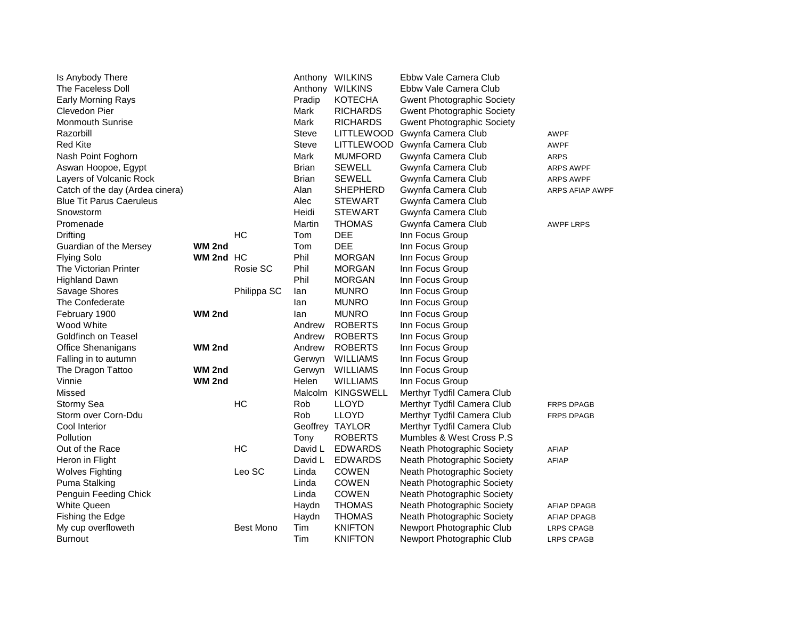| Is Anybody There                |           |                  |                | Anthony WILKINS  | Ebbw Vale Camera Club             |                    |
|---------------------------------|-----------|------------------|----------------|------------------|-----------------------------------|--------------------|
| The Faceless Doll               |           |                  |                | Anthony WILKINS  | Ebbw Vale Camera Club             |                    |
| Early Morning Rays              |           |                  | Pradip         | <b>KOTECHA</b>   | <b>Gwent Photographic Society</b> |                    |
| Clevedon Pier                   |           |                  | Mark           | <b>RICHARDS</b>  | <b>Gwent Photographic Society</b> |                    |
| <b>Monmouth Sunrise</b>         |           |                  | Mark           | <b>RICHARDS</b>  | <b>Gwent Photographic Society</b> |                    |
| Razorbill                       |           |                  | <b>Steve</b>   | LITTLEWOOD       | Gwynfa Camera Club                | <b>AWPF</b>        |
| <b>Red Kite</b>                 |           |                  | Steve          | LITTLEWOOD       | Gwynfa Camera Club                | <b>AWPF</b>        |
| Nash Point Foghorn              |           |                  | Mark           | <b>MUMFORD</b>   | Gwynfa Camera Club                | <b>ARPS</b>        |
| Aswan Hoopoe, Egypt             |           |                  | <b>Brian</b>   | <b>SEWELL</b>    | Gwynfa Camera Club                | ARPS AWPF          |
| Layers of Volcanic Rock         |           |                  | <b>Brian</b>   | <b>SEWELL</b>    | Gwynfa Camera Club                | ARPS AWPF          |
| Catch of the day (Ardea cinera) |           |                  | Alan           | SHEPHERD         | Gwynfa Camera Club                | ARPS AFIAP AWPF    |
| <b>Blue Tit Parus Caeruleus</b> |           |                  | Alec           | <b>STEWART</b>   | Gwynfa Camera Club                |                    |
| Snowstorm                       |           |                  | Heidi          | <b>STEWART</b>   | Gwynfa Camera Club                |                    |
| Promenade                       |           |                  | Martin         | <b>THOMAS</b>    | Gwynfa Camera Club                | <b>AWPF LRPS</b>   |
| Drifting                        |           | HC               | Tom            | DEE              | Inn Focus Group                   |                    |
| Guardian of the Mersey          | WM 2nd    |                  | Tom            | <b>DEE</b>       | Inn Focus Group                   |                    |
| <b>Flying Solo</b>              | WM 2nd HC |                  | Phil           | <b>MORGAN</b>    | Inn Focus Group                   |                    |
| The Victorian Printer           |           | Rosie SC         | Phil           | <b>MORGAN</b>    | Inn Focus Group                   |                    |
| <b>Highland Dawn</b>            |           |                  | Phil           | <b>MORGAN</b>    | Inn Focus Group                   |                    |
| Savage Shores                   |           | Philippa SC      | lan            | <b>MUNRO</b>     | Inn Focus Group                   |                    |
| The Confederate                 |           |                  | lan            | <b>MUNRO</b>     | Inn Focus Group                   |                    |
| February 1900                   | WM 2nd    |                  | lan            | <b>MUNRO</b>     | Inn Focus Group                   |                    |
| Wood White                      |           |                  | Andrew         | <b>ROBERTS</b>   | Inn Focus Group                   |                    |
| Goldfinch on Teasel             |           |                  | Andrew         | <b>ROBERTS</b>   | Inn Focus Group                   |                    |
| Office Shenanigans              | WM 2nd    |                  | Andrew         | <b>ROBERTS</b>   | Inn Focus Group                   |                    |
| Falling in to autumn            |           |                  | Gerwyn         | <b>WILLIAMS</b>  | Inn Focus Group                   |                    |
| The Dragon Tattoo               | WM 2nd    |                  | Gerwyn         | <b>WILLIAMS</b>  | Inn Focus Group                   |                    |
| Vinnie                          | WM 2nd    |                  | Helen          | <b>WILLIAMS</b>  | Inn Focus Group                   |                    |
| Missed                          |           |                  | <b>Malcolm</b> | <b>KINGSWELL</b> | Merthyr Tydfil Camera Club        |                    |
| Stormy Sea                      |           | HC               | Rob            | <b>LLOYD</b>     | Merthyr Tydfil Camera Club        | <b>FRPS DPAGB</b>  |
| Storm over Corn-Ddu             |           |                  | Rob            | <b>LLOYD</b>     | Merthyr Tydfil Camera Club        | <b>FRPS DPAGB</b>  |
| Cool Interior                   |           |                  |                | Geoffrey TAYLOR  | Merthyr Tydfil Camera Club        |                    |
| Pollution                       |           |                  | Tony           | <b>ROBERTS</b>   | Mumbles & West Cross P.S          |                    |
| Out of the Race                 |           | HC               | David L        | <b>EDWARDS</b>   | Neath Photographic Society        | <b>AFIAP</b>       |
| Heron in Flight                 |           |                  | David L        | <b>EDWARDS</b>   | Neath Photographic Society        | AFIAP              |
| <b>Wolves Fighting</b>          |           | Leo SC           | Linda          | <b>COWEN</b>     | Neath Photographic Society        |                    |
| Puma Stalking                   |           |                  | Linda          | <b>COWEN</b>     | Neath Photographic Society        |                    |
| Penguin Feeding Chick           |           |                  | Linda          | <b>COWEN</b>     | Neath Photographic Society        |                    |
| <b>White Queen</b>              |           |                  | Haydn          | <b>THOMAS</b>    | Neath Photographic Society        | <b>AFIAP DPAGB</b> |
| Fishing the Edge                |           |                  | Haydn          | <b>THOMAS</b>    | Neath Photographic Society        | <b>AFIAP DPAGB</b> |
| My cup overfloweth              |           | <b>Best Mono</b> | Tim            | <b>KNIFTON</b>   | Newport Photographic Club         | <b>LRPS CPAGB</b>  |
| <b>Burnout</b>                  |           |                  | Tim            | <b>KNIFTON</b>   | Newport Photographic Club         | <b>LRPS CPAGB</b>  |